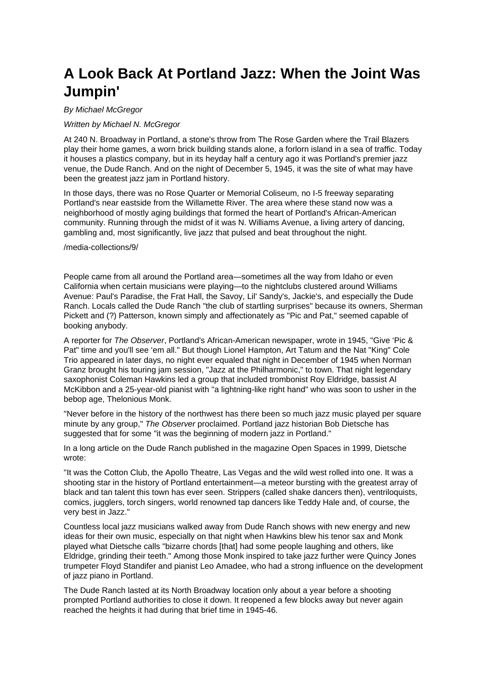# **A Look Back At Portland Jazz: When the Joint Was Jumpin'**

## By Michael McGregor

## Written by Michael N. McGregor

At 240 N. Broadway in Portland, a stone's throw from The Rose Garden where the Trail Blazers play their home games, a worn brick building stands alone, a forlorn island in a sea of traffic. Today it houses a plastics company, but in its heyday half a century ago it was Portland's premier jazz venue, the Dude Ranch. And on the night of December 5, 1945, it was the site of what may have been the greatest jazz jam in Portland history.

In those days, there was no Rose Quarter or Memorial Coliseum, no I-5 freeway separating Portland's near eastside from the Willamette River. The area where these stand now was a neighborhood of mostly aging buildings that formed the heart of Portland's African-American community. Running through the midst of it was N. Williams Avenue, a living artery of dancing, gambling and, most significantly, live jazz that pulsed and beat throughout the night.

### /media-collections/9/

People came from all around the Portland area—sometimes all the way from Idaho or even California when certain musicians were playing—to the nightclubs clustered around Williams Avenue: Paul's Paradise, the Frat Hall, the Savoy, Lil' Sandy's, Jackie's, and especially the Dude Ranch. Locals called the Dude Ranch "the club of startling surprises" because its owners, Sherman Pickett and (?) Patterson, known simply and affectionately as "Pic and Pat," seemed capable of booking anybody.

A reporter for The Observer, Portland's African-American newspaper, wrote in 1945, "Give 'Pic & Pat" time and you'll see 'em all." But though Lionel Hampton, Art Tatum and the Nat "King" Cole Trio appeared in later days, no night ever equaled that night in December of 1945 when Norman Granz brought his touring jam session, "Jazz at the Philharmonic." to town. That night legendary saxophonist Coleman Hawkins led a group that included trombonist Roy Eldridge, bassist Al McKibbon and a 25-year-old pianist with "a lightning-like right hand" who was soon to usher in the bebop age, Thelonious Monk.

"Never before in the history of the northwest has there been so much jazz music played per square minute by any group," The Observer proclaimed. Portland jazz historian Bob Dietsche has suggested that for some "it was the beginning of modern jazz in Portland."

In a long article on the Dude Ranch published in the magazine Open Spaces in 1999, Dietsche wrote:

"It was the Cotton Club, the Apollo Theatre, Las Vegas and the wild west rolled into one. It was a shooting star in the history of Portland entertainment—a meteor bursting with the greatest array of black and tan talent this town has ever seen. Strippers (called shake dancers then), ventriloquists, comics, jugglers, torch singers, world renowned tap dancers like Teddy Hale and, of course, the very best in Jazz."

Countless local jazz musicians walked away from Dude Ranch shows with new energy and new ideas for their own music, especially on that night when Hawkins blew his tenor sax and Monk played what Dietsche calls "bizarre chords [that] had some people laughing and others, like Eldridge, grinding their teeth." Among those Monk inspired to take jazz further were Quincy Jones trumpeter Floyd Standifer and pianist Leo Amadee, who had a strong influence on the development of jazz piano in Portland.

The Dude Ranch lasted at its North Broadway location only about a year before a shooting prompted Portland authorities to close it down. It reopened a few blocks away but never again reached the heights it had during that brief time in 1945-46.